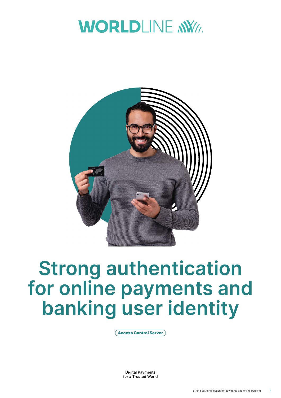



# **Strong authentication for online payments and banking user identity**

Access Control Server

**Digital Payments** for a Trusted World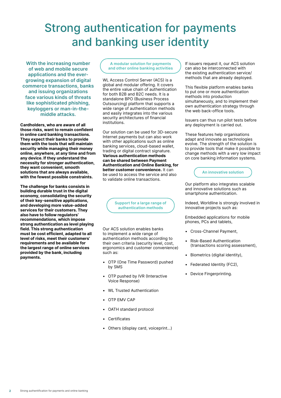### Strong authentication for payments and banking user identity

**With the increasing number of web and mobile secure applications and the evergrowing expansion of digital commerce transactions, banks and issuing organizations face various kinds of threats like sophisticated phishing, keyloggers or man-in-themiddle attacks.**

**Cardholders, who are aware of all those risks, want to remain confident in online card banking transactions. They expect their banks to provide them with the tools that will maintain security while managing their money online, anywhere, at any time and from any device. If they understand the necessity for stronger authentication, they want convenient, smooth solutions that are always available, with the fewest possible constraints.**

**The challenge for banks consists in building durable trust in the digital economy, consolidating the security of their key-sensitive applications, and developing more value-added services for their customers. They also have to follow regulators' recommendations, which impose strong authentication as level playing field. This strong authentication must be cost efficient, adapted to all level of risks, meet their customers' requirements and be available for the largest range of online services provided by the bank, including payments.**

**A modular solution for payments and other online banking activities**

WL Access Control Server (ACS) is a global and modular offering. It covers the entire value chain of authentication for both B2B and B2C needs. It is a standalone BPO (Business Process Outsourcing) platform that supports a wide range of authentication methods and easily integrates into the various security architectures of financial institutions.

Our solution can be used for 3D-secure Internet payments but can also work with other applications such as online banking services, cloud-based wallet, trading or digital contract signature. **Various authentication methods can be shared between Payment Authentication and Online Banking, for better customer convenience.** It can be used to access the service and also to validate online transactions.

> **Support for a large range of authentication methods**

Our ACS solution enables banks to implement a wide range of authentication methods according to their own criteria (security level, cost, ergonomics and customer convenience) such as:

- OTP (One Time Password) pushed by SMS
- OTP pushed by IVR (Interactive Voice Response)
- WL Trusted Authentication
- OTP EMV CAP
- OATH standard protocol
- **Certificates**
- Others (display card, voiceprint…)

If issuers request it, our ACS solution can also be interconnected with the existing authentication service/ methods that are already deployed.

This flexible platform enables banks to put one or more authentication methods into production simultaneously, and to implement their own authentication strategy through the web back-office tools.

Issuers can thus run pilot tests before any deployment is carried out.

These features help organisations adapt and innovate as technologies evolve. The strength of the solution is to provide tools that make it possible to change methods with a very low impact on core banking information systems.



Our platform also integrates scalable and innovative solutions such as smartphone authentication.

Indeed, Worldline is strongly involved in innovative projects such as:

Embedded applications for mobile phones, PCs and tablets,

- Cross-Channel Payment,
- Risk-Based Authentication (transactions scoring assessment),
- Biometrics (digital identity),
- Federated Identity (FC2),
- Device Fingerprinting.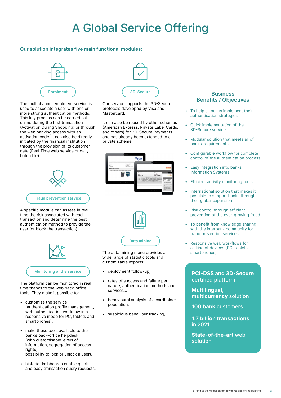## A Global Service Offering

#### **Our solution integrates five main functional modules:**



The multichannel enrolment service is used to associate a user with one or more strong authentication methods. This key process can be carried out online during the first transaction (Activation During Shopping) or through the web banking access with an activation code. It can also be directly initiated by the financial institution through the provision of its customer data (Real Time web service or daily batch file).



A specific module can assess in real time the risk associated with each transaction and determine the best authentication method to provide the user (or block the transaction).



The platform can be monitored in real time thanks to the web back-office tools. They make it possible to:

- customize the service (authentication profile management, web authentication workflow in a responsive mode for PC, tablets and smartphones),
- make these tools available to the bank's back-office helpdesk (with customisable levels of information, segregation of access rights. possibility to lock or unlock a user),
- historic dashboards enable quick and easy transaction query requests.



Our service supports the 3D-Secure protocols developed by Visa and **Mastercard** 

It can also be reused by other schemes (American Express, Private Label Cards, and others) for 3D-Secure Payments and has already been extended to a private scheme.





The data mining menu provides a wide range of statistic tools and customizable exports:

- deployment follow-up,
- rates of success and failure per nature, authentication methods and services...
- behavioural analysis of a cardholder population,
- suspicious behaviour tracking,

#### **Business Benefits / Objectives**

- To help all banks implement their authentication strategies
- Quick implementation of the 3D-Secure service
- Modular solution that meets all of banks' requirements
- Configurable workflow for complete control of the authentication process
- Easy integration into banks Information Systems
- Efficient activity monitoring tools
- International solution that makes it possible to support banks through their global expansion
- Risk control through efficient prevention of the ever-growing fraud
- To benefit from knowledge sharing with the interbank community for fraud prevention services
- Responsive web workflows for all kind of devices (PC, tablets, smartphones)

**PCI-DSS and 3D-Secure** certified platform

**Multilingual, multicurrency** solution

**100 bank** customers

**1.7 billion transactions** in 2021

**State-of-the-art** web solution